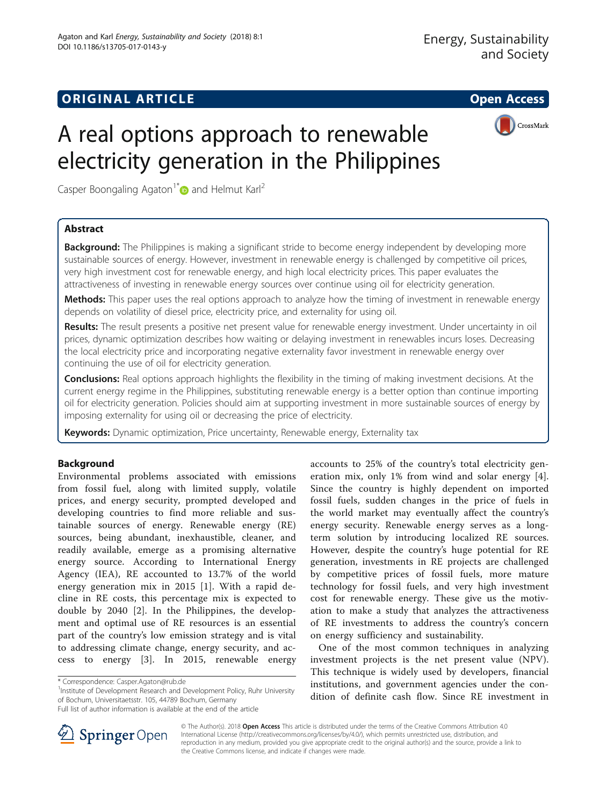# **ORIGINAL ARTICLE CONSERVANCE IN A LOCAL CONSERVANCE IN A LOCAL CONSERVANCE IN A LOCAL CONSERVANCE IN A LOCAL CONS**



# A real options approach to renewable electricity generation in the Philippines

Casper Boongaling Agaton<sup>1[\\*](http://orcid.org/0000-0003-1153-262X)</sup> and Helmut Karl<sup>2</sup>

# Abstract

**Background:** The Philippines is making a significant stride to become energy independent by developing more sustainable sources of energy. However, investment in renewable energy is challenged by competitive oil prices, very high investment cost for renewable energy, and high local electricity prices. This paper evaluates the attractiveness of investing in renewable energy sources over continue using oil for electricity generation.

Methods: This paper uses the real options approach to analyze how the timing of investment in renewable energy depends on volatility of diesel price, electricity price, and externality for using oil.

Results: The result presents a positive net present value for renewable energy investment. Under uncertainty in oil prices, dynamic optimization describes how waiting or delaying investment in renewables incurs loses. Decreasing the local electricity price and incorporating negative externality favor investment in renewable energy over continuing the use of oil for electricity generation.

**Conclusions:** Real options approach highlights the flexibility in the timing of making investment decisions. At the current energy regime in the Philippines, substituting renewable energy is a better option than continue importing oil for electricity generation. Policies should aim at supporting investment in more sustainable sources of energy by imposing externality for using oil or decreasing the price of electricity.

Keywords: Dynamic optimization, Price uncertainty, Renewable energy, Externality tax

# Background

Environmental problems associated with emissions from fossil fuel, along with limited supply, volatile prices, and energy security, prompted developed and developing countries to find more reliable and sustainable sources of energy. Renewable energy (RE) sources, being abundant, inexhaustible, cleaner, and readily available, emerge as a promising alternative energy source. According to International Energy Agency (IEA), RE accounted to 13.7% of the world energy generation mix in 2015 [[1\]](#page-8-0). With a rapid decline in RE costs, this percentage mix is expected to double by 2040 [[2\]](#page-8-0). In the Philippines, the development and optimal use of RE resources is an essential part of the country's low emission strategy and is vital to addressing climate change, energy security, and access to energy [\[3](#page-8-0)]. In 2015, renewable energy

<sup>1</sup>Institute of Development Research and Development Policy, Ruhr University of Bochum, Universitaetsstr. 105, 44789 Bochum, Germany



One of the most common techniques in analyzing investment projects is the net present value (NPV). This technique is widely used by developers, financial institutions, and government agencies under the condition of definite cash flow. Since RE investment in



© The Author(s). 2018 Open Access This article is distributed under the terms of the Creative Commons Attribution 4.0 International License ([http://creativecommons.org/licenses/by/4.0/\)](http://creativecommons.org/licenses/by/4.0/), which permits unrestricted use, distribution, and reproduction in any medium, provided you give appropriate credit to the original author(s) and the source, provide a link to the Creative Commons license, and indicate if changes were made.

<sup>\*</sup> Correspondence: [Casper.Agaton@rub.de](mailto:Casper.Agaton@rub.de) <sup>1</sup>

Full list of author information is available at the end of the article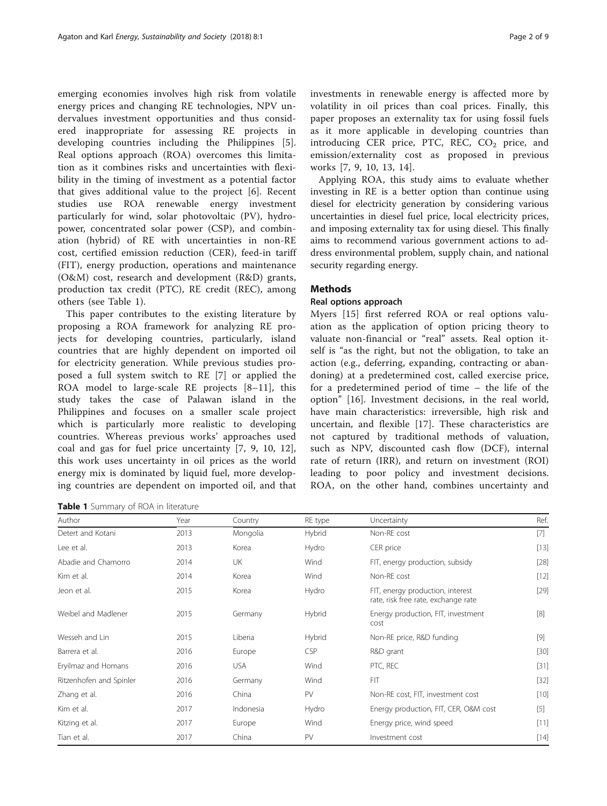emerging economies involves high risk from volatile energy prices and changing RE technologies, NPV undervalues investment opportunities and thus considered inappropriate for assessing RE projects in developing countries including the Philippines [\[5](#page-8-0)]. Real options approach (ROA) overcomes this limitation as it combines risks and uncertainties with flexibility in the timing of investment as a potential factor that gives additional value to the project [[6\]](#page-8-0). Recent studies use ROA renewable energy investment particularly for wind, solar photovoltaic (PV), hydropower, concentrated solar power (CSP), and combination (hybrid) of RE with uncertainties in non-RE cost, certified emission reduction (CER), feed-in tariff (FIT), energy production, operations and maintenance (O&M) cost, research and development (R&D) grants, production tax credit (PTC), RE credit (REC), among others (see Table 1).

This paper contributes to the existing literature by proposing a ROA framework for analyzing RE projects for developing countries, particularly, island countries that are highly dependent on imported oil for electricity generation. While previous studies proposed a full system switch to RE [\[7](#page-8-0)] or applied the ROA model to large-scale RE projects [[8](#page-8-0)–[11\]](#page-8-0), this study takes the case of Palawan island in the Philippines and focuses on a smaller scale project which is particularly more realistic to developing countries. Whereas previous works' approaches used coal and gas for fuel price uncertainty [\[7](#page-8-0), [9](#page-8-0), [10](#page-8-0), [12](#page-8-0)], this work uses uncertainty in oil prices as the world energy mix is dominated by liquid fuel, more developing countries are dependent on imported oil, and that

Table 1 Summary of ROA in literature

investments in renewable energy is affected more by volatility in oil prices than coal prices. Finally, this paper proposes an externality tax for using fossil fuels as it more applicable in developing countries than introducing CER price, PTC, REC,  $CO<sub>2</sub>$  price, and emission/externality cost as proposed in previous works [[7, 9, 10](#page-8-0), [13](#page-8-0), [14](#page-8-0)].

Applying ROA, this study aims to evaluate whether investing in RE is a better option than continue using diesel for electricity generation by considering various uncertainties in diesel fuel price, local electricity prices, and imposing externality tax for using diesel. This finally aims to recommend various government actions to address environmental problem, supply chain, and national security regarding energy.

# Methods

#### Real options approach

Myers [\[15](#page-8-0)] first referred ROA or real options valuation as the application of option pricing theory to valuate non-financial or "real" assets. Real option itself is "as the right, but not the obligation, to take an action (e.g., deferring, expanding, contracting or abandoning) at a predetermined cost, called exercise price, for a predetermined period of time – the life of the option" [[16\]](#page-8-0). Investment decisions, in the real world, have main characteristics: irreversible, high risk and uncertain, and flexible [[17\]](#page-8-0). These characteristics are not captured by traditional methods of valuation, such as NPV, discounted cash flow (DCF), internal rate of return (IRR), and return on investment (ROI) leading to poor policy and investment decisions. ROA, on the other hand, combines uncertainty and

| Author                  | Year | Country    | RE type    | Uncertainty                                                             | Ref.   |
|-------------------------|------|------------|------------|-------------------------------------------------------------------------|--------|
| Detert and Kotani       | 2013 | Mongolia   | Hybrid     | Non-RE cost                                                             | $[7]$  |
| Lee et al.              | 2013 | Korea      | Hydro      | CER price                                                               | $[13]$ |
| Abadie and Chamorro     | 2014 | <b>UK</b>  | Wind       | FIT, energy production, subsidy                                         | $[28]$ |
| Kim et al.              | 2014 | Korea      | Wind       | Non-RE cost                                                             | $[12]$ |
| Jeon et al.             | 2015 | Korea      | Hydro      | FIT, energy production, interest<br>rate, risk free rate, exchange rate | $[29]$ |
| Weibel and Madlener     | 2015 | Germany    | Hybrid     | Energy production, FIT, investment<br>cost                              | [8]    |
| Wesseh and Lin          | 2015 | Liberia    | Hybrid     | Non-RE price, R&D funding                                               | $[9]$  |
| Barrera et al.          | 2016 | Europe     | <b>CSP</b> | R&D grant                                                               | $[30]$ |
| Eryilmaz and Homans     | 2016 | <b>USA</b> | Wind       | PTC, REC                                                                | $[31]$ |
| Ritzenhofen and Spinler | 2016 | Germany    | Wind       | <b>FIT</b>                                                              | $[32]$ |
| Zhang et al.            | 2016 | China      | PV         | Non-RE cost, FIT, investment cost                                       | $[10]$ |
| Kim et al.              | 2017 | Indonesia  | Hydro      | Energy production, FIT, CER, O&M cost                                   | $[5]$  |
| Kitzing et al.          | 2017 | Europe     | Wind       | Energy price, wind speed                                                | $[11]$ |
| Tian et al.             | 2017 | China      | PV         | Investment cost                                                         | $[14]$ |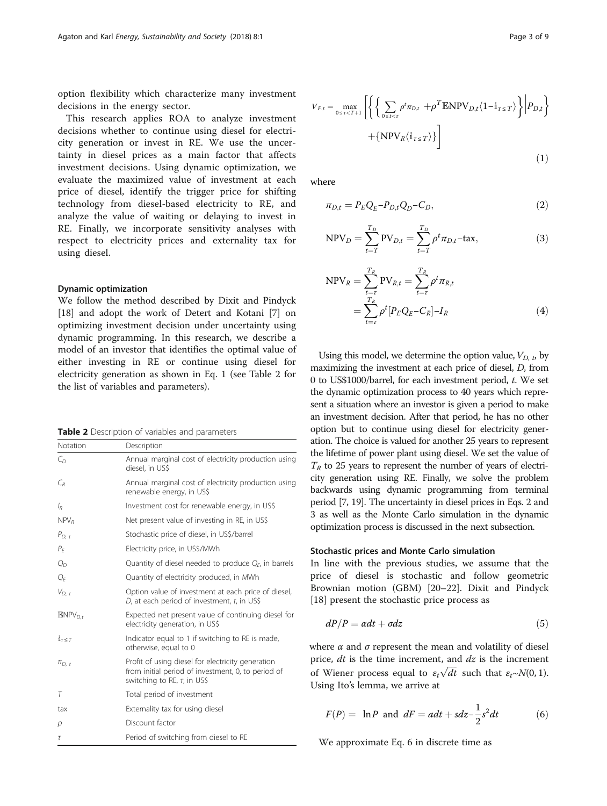<span id="page-2-0"></span>option flexibility which characterize many investment decisions in the energy sector.

This research applies ROA to analyze investment decisions whether to continue using diesel for electricity generation or invest in RE. We use the uncertainty in diesel prices as a main factor that affects investment decisions. Using dynamic optimization, we evaluate the maximized value of investment at each price of diesel, identify the trigger price for shifting technology from diesel-based electricity to RE, and analyze the value of waiting or delaying to invest in RE. Finally, we incorporate sensitivity analyses with respect to electricity prices and externality tax for using diesel.

# Dynamic optimization

We follow the method described by Dixit and Pindyck [[18\]](#page-8-0) and adopt the work of Detert and Kotani [\[7](#page-8-0)] on optimizing investment decision under uncertainty using dynamic programming. In this research, we describe a model of an investor that identifies the optimal value of either investing in RE or continue using diesel for electricity generation as shown in Eq. 1 (see Table 2 for the list of variables and parameters).

|  | Table 2 Description of variables and parameters |  |  |  |
|--|-------------------------------------------------|--|--|--|
|--|-------------------------------------------------|--|--|--|

| Notation                        | Description                                                                                                                                  |  |
|---------------------------------|----------------------------------------------------------------------------------------------------------------------------------------------|--|
| $C_{D}$                         | Annual marginal cost of electricity production using<br>diesel, in US\$                                                                      |  |
| $C_R$                           | Annual marginal cost of electricity production using<br>renewable energy, in US\$                                                            |  |
| $l_{R}$                         | Investment cost for renewable energy, in US\$                                                                                                |  |
| NPV <sub>R</sub>                | Net present value of investing in RE, in US\$                                                                                                |  |
| $P_{D-t}$                       | Stochastic price of diesel, in US\$/barrel                                                                                                   |  |
| $P_F$                           | Electricity price, in US\$/MWh                                                                                                               |  |
| $Q_{D}$                         | Quantity of diesel needed to produce $Q_F$ , in barrels                                                                                      |  |
| $Q_F$                           | Quantity of electricity produced, in MWh                                                                                                     |  |
| $V_{D, t}$                      | Option value of investment at each price of diesel,<br>D, at each period of investment, t, in US\$                                           |  |
| $ENDV_{D,t}$                    | Expected net present value of continuing diesel for<br>electricity generation, in US\$                                                       |  |
| $\mathring{\mathbb{1}}_T\leq T$ | Indicator equal to 1 if switching to RE is made,<br>otherwise, equal to 0                                                                    |  |
| $\pi_{D. t}$                    | Profit of using diesel for electricity generation<br>from initial period of investment, 0, to period of<br>switching to RE, $\tau$ , in US\$ |  |
| $\tau$                          | Total period of investment                                                                                                                   |  |
| tax                             | Externality tax for using diesel                                                                                                             |  |
| ρ                               | Discount factor                                                                                                                              |  |
| $\tau$                          | Period of switching from diesel to RE                                                                                                        |  |

$$
V_{F,t} = \max_{0 \leq \tau < T+1} \left[ \left\{ \left\{ \sum_{0 \leq t < \tau} \rho^t \pi_{D,t} + \rho^T \mathbb{E} \mathbf{NPV}_{D,t} \langle 1 - \mathbb{1}_{\tau \leq T} \rangle \right\} \middle| P_{D,t} \right\} + \left\{ \mathbf{NPV}_R \langle \mathbb{1}_{\tau \leq T} \rangle \right\} \right]
$$

where

$$
\pi_{D,t} = P_E Q_E - P_{D,t} Q_D - C_D,\tag{2}
$$

$$
NPV_D = \sum_{t=T}^{T_D} PV_{D,t} = \sum_{t=T}^{T_D} \rho^t \pi_{D,t} - \text{tax},
$$
\n(3)

$$
NPV_R = \sum_{t=\tau}^{T_R} PV_{R,t} = \sum_{t=\tau}^{T_R} \rho^t \pi_{R,t}
$$
  
= 
$$
\sum_{t=\tau}^{T_R} \rho^t [P_E Q_E - C_R] - I_R
$$
 (4)

Using this model, we determine the option value,  $V_{D, t}$ , by maximizing the investment at each price of diesel, D, from 0 to US\$1000/barrel, for each investment period, t. We set the dynamic optimization process to 40 years which represent a situation where an investor is given a period to make an investment decision. After that period, he has no other option but to continue using diesel for electricity generation. The choice is valued for another 25 years to represent the lifetime of power plant using diesel. We set the value of  $T_R$  to 25 years to represent the number of years of electricity generation using RE. Finally, we solve the problem backwards using dynamic programming from terminal period [\[7](#page-8-0), [19](#page-8-0)]. The uncertainty in diesel prices in Eqs. 2 and 3 as well as the Monte Carlo simulation in the dynamic optimization process is discussed in the next subsection.

#### Stochastic prices and Monte Carlo simulation

In line with the previous studies, we assume that the price of diesel is stochastic and follow geometric Brownian motion (GBM) [[20](#page-8-0)–[22](#page-8-0)]. Dixit and Pindyck [[18\]](#page-8-0) present the stochastic price process as

$$
dP/P = \alpha dt + \sigma dz \tag{5}
$$

where  $\alpha$  and  $\sigma$  represent the mean and volatility of diesel price,  $dt$  is the time increment, and  $dz$  is the increment of Wiener process equal to  $\varepsilon_t \sqrt{dt}$  such that  $\varepsilon_t \sim N(0, 1)$ . Using Ito's lemma, we arrive at

$$
F(P) = \ln P \text{ and } dF = adt + sdz - \frac{1}{2}s^2 dt \tag{6}
$$

We approximate Eq. 6 in discrete time as

 $(1)$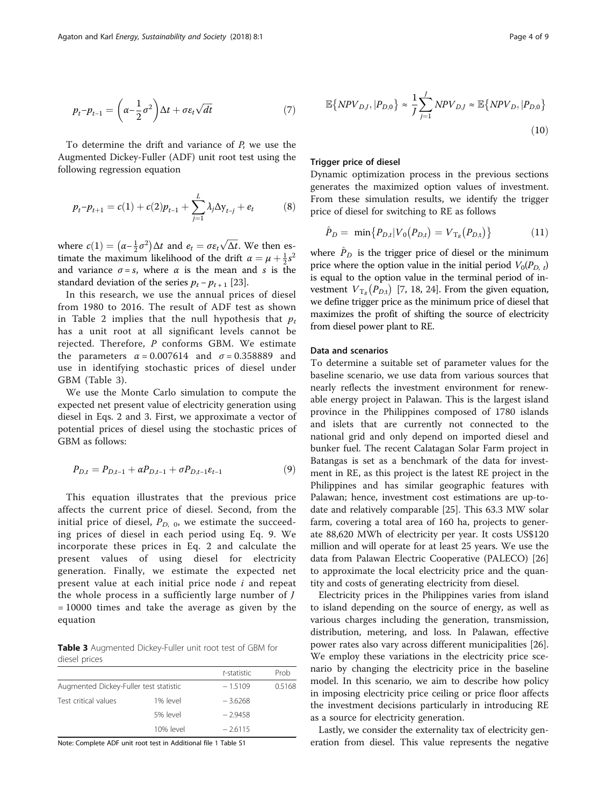$$
p_t - p_{t-1} = \left(\alpha - \frac{1}{2}\sigma^2\right)\Delta t + \sigma \varepsilon_t \sqrt{dt} \tag{7}
$$

To determine the drift and variance of P, we use the Augmented Dickey-Fuller (ADF) unit root test using the following regression equation

$$
p_t - p_{t+1} = c(1) + c(2)p_{t-1} + \sum_{j=1}^{L} \lambda_j \Delta y_{t-j} + e_t \tag{8}
$$

where  $c(1) = (\alpha - \frac{1}{2}\sigma^2) \Delta t$  and  $e_t = \sigma \varepsilon_t \sqrt{\Delta t}$ . We then es-<br>timate the maximum likelihood of the drift  $\alpha - \mu + \frac{1}{2}\sigma^2$ timate the maximum likelihood of the drift  $\alpha = \mu + \frac{1}{2}s^2$ <br>and variance  $\sigma = s$ , where  $\alpha$  is the mean and s is the and variance  $\sigma = s$ , where  $\alpha$  is the mean and s is the standard deviation of the series  $p_t - p_{t+1}$  [\[23\]](#page-8-0).

In this research, we use the annual prices of diesel from 1980 to 2016. The result of ADF test as shown in Table [2](#page-2-0) implies that the null hypothesis that  $p_t$ has a unit root at all significant levels cannot be rejected. Therefore, P conforms GBM. We estimate the parameters  $\alpha = 0.007614$  and  $\sigma = 0.358889$  and use in identifying stochastic prices of diesel under GBM (Table 3).

We use the Monte Carlo simulation to compute the expected net present value of electricity generation using diesel in Eqs. [2](#page-2-0) and [3.](#page-2-0) First, we approximate a vector of potential prices of diesel using the stochastic prices of GBM as follows:

$$
P_{D,t} = P_{D,t-1} + \alpha P_{D,t-1} + \sigma P_{D,t-1} \varepsilon_{t-1}
$$
\n(9)

This equation illustrates that the previous price affects the current price of diesel. Second, from the initial price of diesel,  $P_{D, 0}$ , we estimate the succeeding prices of diesel in each period using Eq. 9. We incorporate these prices in Eq. [2](#page-2-0) and calculate the present values of using diesel for electricity generation. Finally, we estimate the expected net present value at each initial price node i and repeat the whole process in a sufficiently large number of  $J$ = 10000 times and take the average as given by the equation

Table 3 Augmented Dickey-Fuller unit root test of GBM for diesel prices

|                                        |           | t-statistic | Prob |
|----------------------------------------|-----------|-------------|------|
| Augmented Dickey-Fuller test statistic | $-1.5109$ | 0.5168      |      |
| Test critical values                   | 1% level  | $-3.6268$   |      |
|                                        | 5% level  | $-2.9458$   |      |
|                                        | 10% level | $-2.6115$   |      |

Note: Complete ADF unit root test in Additional file [1](#page-7-0) Table S1

$$
\mathbb{E}\{NPV_{D,J}, |P_{D,0}\} \approx \frac{1}{J} \sum_{j=1}^{J} NPV_{D,J} \approx \mathbb{E}\{NPV_{D}, |P_{D,0}\}\
$$
\n(10)

#### Trigger price of diesel

Dynamic optimization process in the previous sections generates the maximized option values of investment. From these simulation results, we identify the trigger price of diesel for switching to RE as follows

$$
\hat{P}_D = \min\{P_{D,t}|V_0(P_{D,t}) = V_{T_R}(P_{D,t})\}\tag{11}
$$

where  $\hat{P}_D$  is the trigger price of diesel or the minimum price where the option value in the initial period  $V_0(P_{D, t})$ is equal to the option value in the terminal period of investment  $V_{T_R}(P_{D,\text{t}})$  [[7](#page-8-0), [18,](#page-8-0) [24\]](#page-8-0). From the given equation, we define trigger price as the minimum price of diesel that maximizes the profit of shifting the source of electricity from diesel power plant to RE.

# Data and scenarios

To determine a suitable set of parameter values for the baseline scenario, we use data from various sources that nearly reflects the investment environment for renewable energy project in Palawan. This is the largest island province in the Philippines composed of 1780 islands and islets that are currently not connected to the national grid and only depend on imported diesel and bunker fuel. The recent Calatagan Solar Farm project in Batangas is set as a benchmark of the data for investment in RE, as this project is the latest RE project in the Philippines and has similar geographic features with Palawan; hence, investment cost estimations are up-todate and relatively comparable [\[25\]](#page-8-0). This 63.3 MW solar farm, covering a total area of 160 ha, projects to generate 88,620 MWh of electricity per year. It costs US\$120 million and will operate for at least 25 years. We use the data from Palawan Electric Cooperative (PALECO) [[26](#page-8-0)] to approximate the local electricity price and the quantity and costs of generating electricity from diesel.

Electricity prices in the Philippines varies from island to island depending on the source of energy, as well as various charges including the generation, transmission, distribution, metering, and loss. In Palawan, effective power rates also vary across different municipalities [\[26](#page-8-0)]. We employ these variations in the electricity price scenario by changing the electricity price in the baseline model. In this scenario, we aim to describe how policy in imposing electricity price ceiling or price floor affects the investment decisions particularly in introducing RE as a source for electricity generation.

Lastly, we consider the externality tax of electricity generation from diesel. This value represents the negative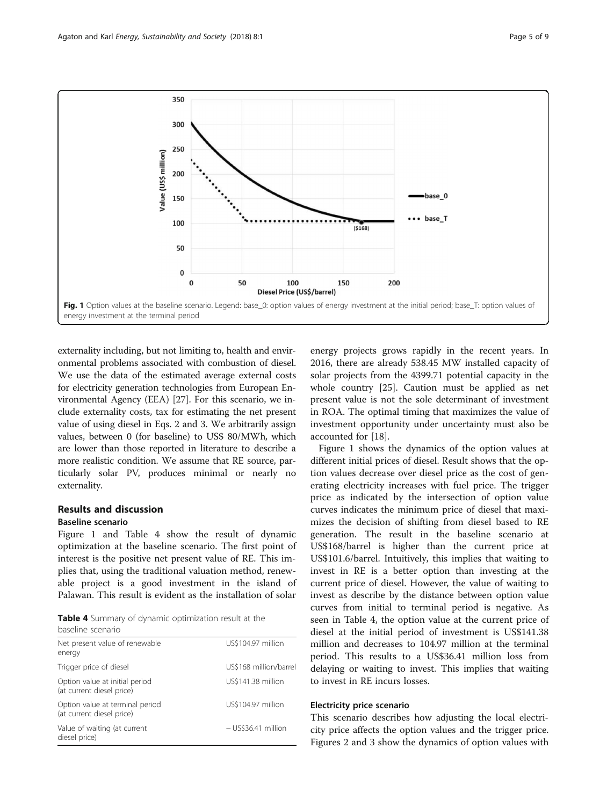

externality including, but not limiting to, health and environmental problems associated with combustion of diesel. We use the data of the estimated average external costs for electricity generation technologies from European Environmental Agency (EEA) [[27](#page-8-0)]. For this scenario, we include externality costs, tax for estimating the net present value of using diesel in Eqs. [2](#page-2-0) and [3.](#page-2-0) We arbitrarily assign values, between 0 (for baseline) to US\$ 80/MWh, which are lower than those reported in literature to describe a more realistic condition. We assume that RE source, particularly solar PV, produces minimal or nearly no externality.

# Results and discussion

# Baseline scenario

Figure 1 and Table 4 show the result of dynamic optimization at the baseline scenario. The first point of interest is the positive net present value of RE. This implies that, using the traditional valuation method, renewable project is a good investment in the island of Palawan. This result is evident as the installation of solar

Table 4 Summary of dynamic optimization result at the baseline scenario

| Net present value of renewable<br>energy                     | US\$104.97 million     |
|--------------------------------------------------------------|------------------------|
| Trigger price of diesel                                      | US\$168 million/barrel |
| Option value at initial period<br>(at current diesel price)  | US\$141.38 million     |
| Option value at terminal period<br>(at current diesel price) | US\$104.97 million     |
| Value of waiting (at current<br>diesel price)                | $-$ US\$36.41 million  |

energy projects grows rapidly in the recent years. In 2016, there are already 538.45 MW installed capacity of solar projects from the 4399.71 potential capacity in the whole country [\[25](#page-8-0)]. Caution must be applied as net present value is not the sole determinant of investment in ROA. The optimal timing that maximizes the value of investment opportunity under uncertainty must also be accounted for [\[18](#page-8-0)].

Figure 1 shows the dynamics of the option values at different initial prices of diesel. Result shows that the option values decrease over diesel price as the cost of generating electricity increases with fuel price. The trigger price as indicated by the intersection of option value curves indicates the minimum price of diesel that maximizes the decision of shifting from diesel based to RE generation. The result in the baseline scenario at US\$168/barrel is higher than the current price at US\$101.6/barrel. Intuitively, this implies that waiting to invest in RE is a better option than investing at the current price of diesel. However, the value of waiting to invest as describe by the distance between option value curves from initial to terminal period is negative. As seen in Table 4, the option value at the current price of diesel at the initial period of investment is US\$141.38 million and decreases to 104.97 million at the terminal period. This results to a US\$36.41 million loss from delaying or waiting to invest. This implies that waiting to invest in RE incurs losses.

# Electricity price scenario

This scenario describes how adjusting the local electricity price affects the option values and the trigger price. Figures [2](#page-5-0) and [3](#page-5-0) show the dynamics of option values with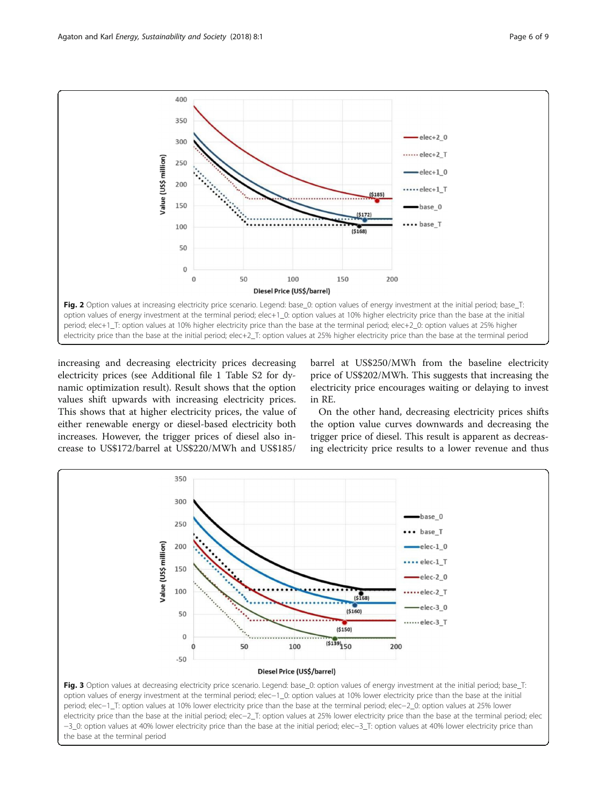<span id="page-5-0"></span>

increasing and decreasing electricity prices decreasing electricity prices (see Additional file [1](#page-7-0) Table S2 for dynamic optimization result). Result shows that the option values shift upwards with increasing electricity prices. This shows that at higher electricity prices, the value of either renewable energy or diesel-based electricity both increases. However, the trigger prices of diesel also increase to US\$172/barrel at US\$220/MWh and US\$185/

barrel at US\$250/MWh from the baseline electricity price of US\$202/MWh. This suggests that increasing the electricity price encourages waiting or delaying to invest in RE.

On the other hand, decreasing electricity prices shifts the option value curves downwards and decreasing the trigger price of diesel. This result is apparent as decreasing electricity price results to a lower revenue and thus



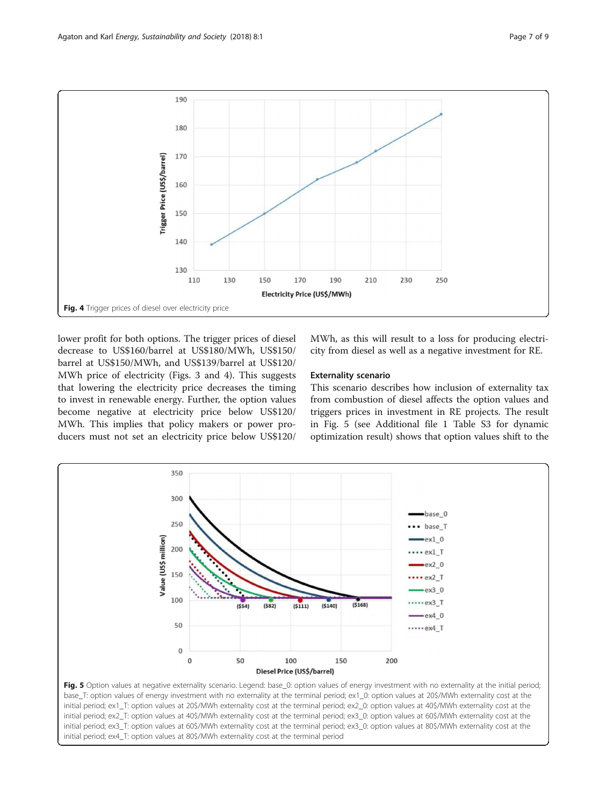<span id="page-6-0"></span>

lower profit for both options. The trigger prices of diesel decrease to US\$160/barrel at US\$180/MWh, US\$150/ barrel at US\$150/MWh, and US\$139/barrel at US\$120/ MWh price of electricity (Figs. [3](#page-5-0) and 4). This suggests that lowering the electricity price decreases the timing to invest in renewable energy. Further, the option values become negative at electricity price below US\$120/ MWh. This implies that policy makers or power producers must not set an electricity price below US\$120/

MWh, as this will result to a loss for producing electricity from diesel as well as a negative investment for RE.

## Externality scenario

This scenario describes how inclusion of externality tax from combustion of diesel affects the option values and triggers prices in investment in RE projects. The result in Fig. 5 (see Additional file [1](#page-7-0) Table S3 for dynamic optimization result) shows that option values shift to the



initial period; ex1\_T: option values at 20\$/MWh externality cost at the terminal period; ex2\_0: option values at 40\$/MWh externality cost at the initial period; ex2\_T: option values at 40\$/MWh externality cost at the terminal period; ex3\_0: option values at 60\$/MWh externality cost at the initial period; ex3\_T: option values at 60\$/MWh externality cost at the terminal period; ex3\_0: option values at 80\$/MWh externality cost at the initial period; ex4\_T: option values at 80\$/MWh externality cost at the terminal period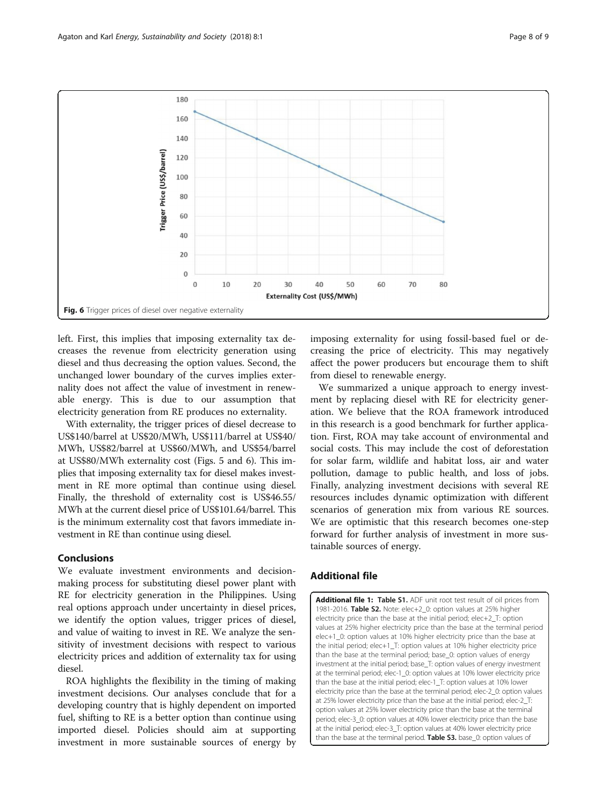<span id="page-7-0"></span>

left. First, this implies that imposing externality tax decreases the revenue from electricity generation using diesel and thus decreasing the option values. Second, the unchanged lower boundary of the curves implies externality does not affect the value of investment in renewable energy. This is due to our assumption that electricity generation from RE produces no externality.

With externality, the trigger prices of diesel decrease to US\$140/barrel at US\$20/MWh, US\$111/barrel at US\$40/ MWh, US\$82/barrel at US\$60/MWh, and US\$54/barrel at US\$80/MWh externality cost (Figs. [5](#page-6-0) and 6). This implies that imposing externality tax for diesel makes investment in RE more optimal than continue using diesel. Finally, the threshold of externality cost is US\$46.55/ MWh at the current diesel price of US\$101.64/barrel. This is the minimum externality cost that favors immediate investment in RE than continue using diesel.

# Conclusions

We evaluate investment environments and decisionmaking process for substituting diesel power plant with RE for electricity generation in the Philippines. Using real options approach under uncertainty in diesel prices, we identify the option values, trigger prices of diesel, and value of waiting to invest in RE. We analyze the sensitivity of investment decisions with respect to various electricity prices and addition of externality tax for using diesel.

ROA highlights the flexibility in the timing of making investment decisions. Our analyses conclude that for a developing country that is highly dependent on imported fuel, shifting to RE is a better option than continue using imported diesel. Policies should aim at supporting investment in more sustainable sources of energy by

imposing externality for using fossil-based fuel or decreasing the price of electricity. This may negatively affect the power producers but encourage them to shift from diesel to renewable energy.

We summarized a unique approach to energy investment by replacing diesel with RE for electricity generation. We believe that the ROA framework introduced in this research is a good benchmark for further application. First, ROA may take account of environmental and social costs. This may include the cost of deforestation for solar farm, wildlife and habitat loss, air and water pollution, damage to public health, and loss of jobs. Finally, analyzing investment decisions with several RE resources includes dynamic optimization with different scenarios of generation mix from various RE sources. We are optimistic that this research becomes one-step forward for further analysis of investment in more sustainable sources of energy.

# Additional file

[Additional file 1:](dx.doi.org/10.1186/s13705-017-0143-y) Table S1. ADF unit root test result of oil prices from 1981-2016. Table S2. Note: elec+2\_0: option values at 25% higher electricity price than the base at the initial period; elec+2\_T: option values at 25% higher electricity price than the base at the terminal period elec+1\_0: option values at 10% higher electricity price than the base at the initial period; elec+1\_T: option values at 10% higher electricity price than the base at the terminal period; base\_0: option values of energy investment at the initial period; base\_T: option values of energy investment at the terminal period; elec-1\_0: option values at 10% lower electricity price than the base at the initial period; elec-1\_T: option values at 10% lower electricity price than the base at the terminal period; elec-2\_0: option values at 25% lower electricity price than the base at the initial period; elec-2\_T: option values at 25% lower electricity price than the base at the terminal period; elec-3\_0: option values at 40% lower electricity price than the base at the initial period; elec-3\_T: option values at 40% lower electricity price than the base at the terminal period. Table S3. base\_0: option values of